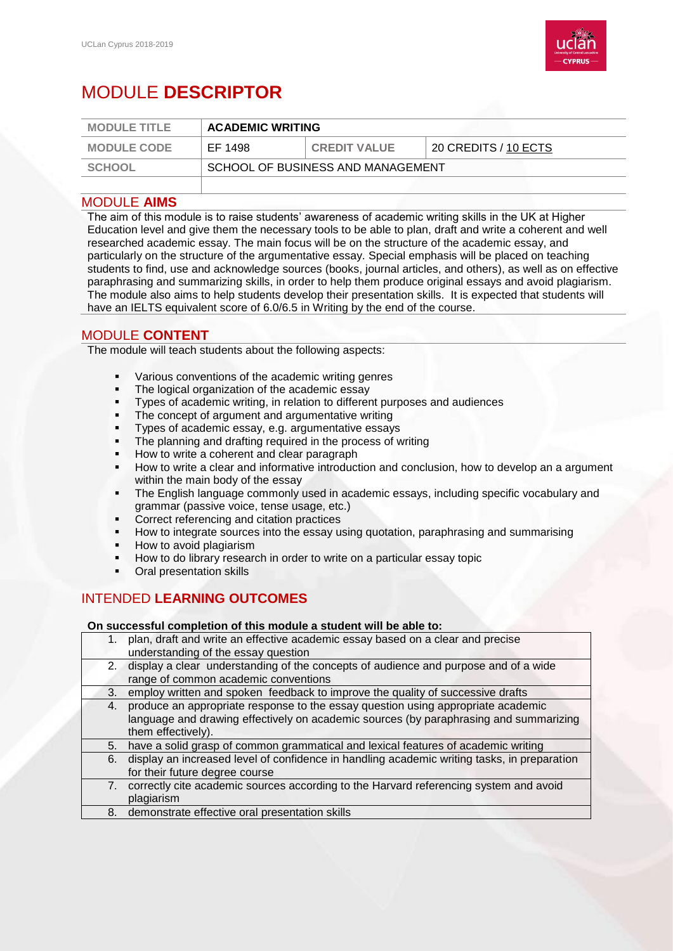

# MODULE **DESCRIPTOR**

| <b>MODULE TITLE</b> | <b>ACADEMIC WRITING</b>           |                     |                      |
|---------------------|-----------------------------------|---------------------|----------------------|
| <b>MODULE CODE</b>  | EF 1498                           | <b>CREDIT VALUE</b> | 20 CREDITS / 10 ECTS |
| <b>SCHOOL</b>       | SCHOOL OF BUSINESS AND MANAGEMENT |                     |                      |

#### MODULE **AIMS**

The aim of this module is to raise students' awareness of academic writing skills in the UK at Higher Education level and give them the necessary tools to be able to plan, draft and write a coherent and well researched academic essay. The main focus will be on the structure of the academic essay, and particularly on the structure of the argumentative essay. Special emphasis will be placed on teaching students to find, use and acknowledge sources (books, journal articles, and others), as well as on effective paraphrasing and summarizing skills, in order to help them produce original essays and avoid plagiarism. The module also aims to help students develop their presentation skills. It is expected that students will have an IELTS equivalent score of 6.0/6.5 in Writing by the end of the course.

## MODULE **CONTENT**

The module will teach students about the following aspects:

- Various conventions of the academic writing genres
- The logical organization of the academic essay
- Types of academic writing, in relation to different purposes and audiences
- The concept of argument and argumentative writing
- Types of academic essay, e.g. argumentative essays
- The planning and drafting required in the process of writing
- How to write a coherent and clear paragraph
- How to write a clear and informative introduction and conclusion, how to develop an a argument within the main body of the essay
- The English language commonly used in academic essays, including specific vocabulary and grammar (passive voice, tense usage, etc.)
- Correct referencing and citation practices
- How to integrate sources into the essay using quotation, paraphrasing and summarising
- How to avoid plagiarism
- How to do library research in order to write on a particular essay topic
- Oral presentation skills

# INTENDED **LEARNING OUTCOMES**

#### **On successful completion of this module a student will be able to:**

- 1. plan, draft and write an effective academic essay based on a clear and precise understanding of the essay question
- 2. display a clear understanding of the concepts of audience and purpose and of a wide range of common academic conventions
- 3. employ written and spoken feedback to improve the quality of successive drafts
- 4. produce an appropriate response to the essay question using appropriate academic language and drawing effectively on academic sources (by paraphrasing and summarizing them effectively).
- 5. have a solid grasp of common grammatical and lexical features of academic writing
- 6. display an increased level of confidence in handling academic writing tasks, in preparation for their future degree course
- 7. correctly cite academic sources according to the Harvard referencing system and avoid plagiarism
- 8. demonstrate effective oral presentation skills